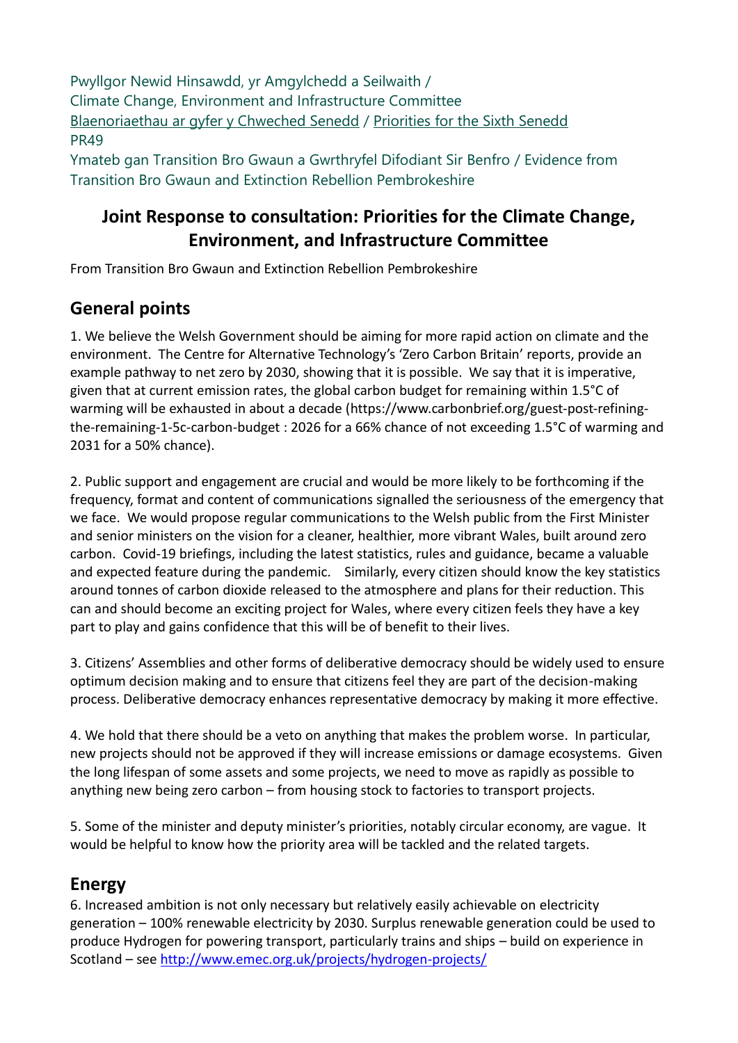Pwyllgor Newid Hinsawdd, yr Amgylchedd a Seilwaith / Climate Change, Environment and Infrastructure Committee [Blaenoriaethau ar gyfer y Chweched Senedd](https://busnes.senedd.cymru/mgConsultationDisplay.aspx?id=427&RPID=1026452002&cp=yes) / Priorities [for the Sixth Senedd](https://business.senedd.wales/mgConsultationDisplay.aspx?id=427&RPID=1026452002&cp=yes) PR49 Ymateb gan Transition Bro Gwaun a Gwrthryfel Difodiant Sir Benfro / Evidence from

Transition Bro Gwaun and Extinction Rebellion Pembrokeshire

### **Joint Response to consultation: Priorities for the Climate Change, Environment, and Infrastructure Committee**

From Transition Bro Gwaun and Extinction Rebellion Pembrokeshire

### **General points**

1. We believe the Welsh Government should be aiming for more rapid action on climate and the environment. The Centre for Alternative Technology's 'Zero Carbon Britain' reports, provide an example pathway to net zero by 2030, showing that it is possible. We say that it is imperative, given that at current emission rates, the global carbon budget for remaining within 1.5°C of warming will be exhausted in about a decade [\(https://www.carbonbrief.org/guest-post-refining](https://www.carbonbrief.org/guest-post-refining-the-remaining-1-5c-carbon-budget)[the-remaining-1-5c-carbon-budget](https://www.carbonbrief.org/guest-post-refining-the-remaining-1-5c-carbon-budget) : 2026 for a 66% chance of not exceeding 1.5°C of warming and 2031 for a 50% chance).

2. Public support and engagement are crucial and would be more likely to be forthcoming if the frequency, format and content of communications signalled the seriousness of the emergency that we face. We would propose regular communications to the Welsh public from the First Minister and senior ministers on the vision for a cleaner, healthier, more vibrant Wales, built around zero carbon. Covid-19 briefings, including the latest statistics, rules and guidance, became a valuable and expected feature during the pandemic. Similarly, every citizen should know the key statistics around tonnes of carbon dioxide released to the atmosphere and plans for their reduction. This can and should become an exciting project for Wales, where every citizen feels they have a key part to play and gains confidence that this will be of benefit to their lives.

3. Citizens' Assemblies and other forms of deliberative democracy should be widely used to ensure optimum decision making and to ensure that citizens feel they are part of the decision-making process. Deliberative democracy enhances representative democracy by making it more effective.

4. We hold that there should be a veto on anything that makes the problem worse. In particular, new projects should not be approved if they will increase emissions or damage ecosystems. Given the long lifespan of some assets and some projects, we need to move as rapidly as possible to anything new being zero carbon – from housing stock to factories to transport projects.

5. Some of the minister and deputy minister's priorities, notably circular economy, are vague. It would be helpful to know how the priority area will be tackled and the related targets.

# **Energy**

6. Increased ambition is not only necessary but relatively easily achievable on electricity generation – 100% renewable electricity by 2030. Surplus renewable generation could be used to produce Hydrogen for powering transport, particularly trains and ships – build on experience in Scotland – see <http://www.emec.org.uk/projects/hydrogen-projects/>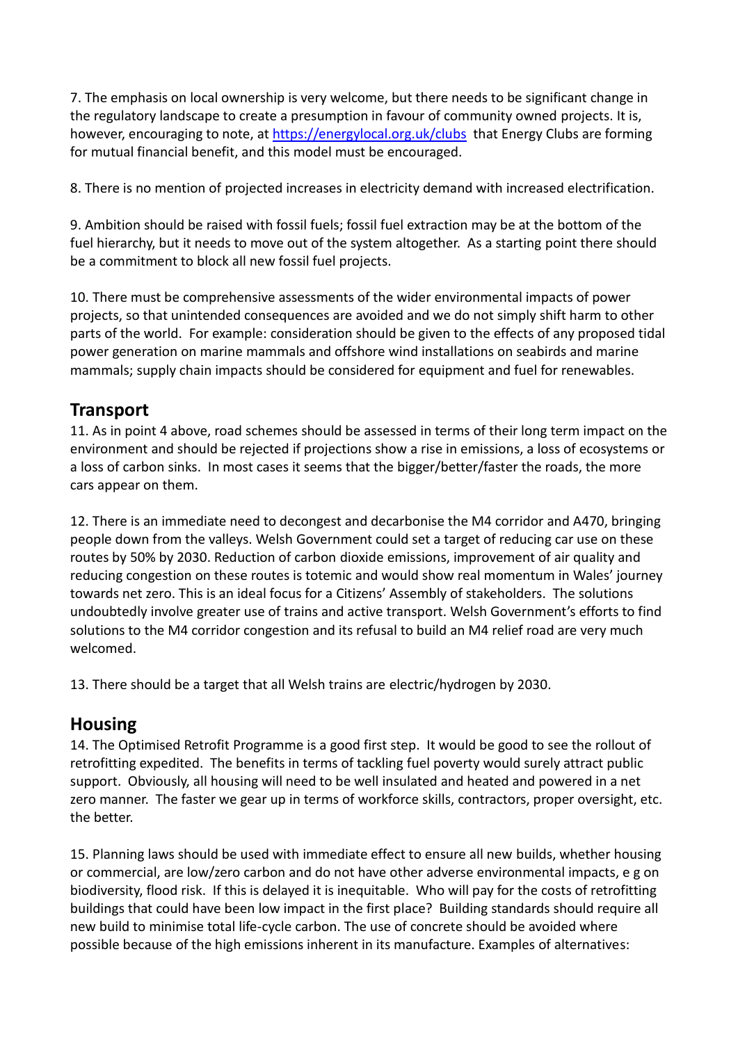7. The emphasis on local ownership is very welcome, but there needs to be significant change in the regulatory landscape to create a presumption in favour of community owned projects. It is, however, encouraging to note, at<https://energylocal.org.uk/clubs>that Energy Clubs are forming for mutual financial benefit, and this model must be encouraged.

8. There is no mention of projected increases in electricity demand with increased electrification.

9. Ambition should be raised with fossil fuels; fossil fuel extraction may be at the bottom of the fuel hierarchy, but it needs to move out of the system altogether. As a starting point there should be a commitment to block all new fossil fuel projects.

10. There must be comprehensive assessments of the wider environmental impacts of power projects, so that unintended consequences are avoided and we do not simply shift harm to other parts of the world. For example: consideration should be given to the effects of any proposed tidal power generation on marine mammals and offshore wind installations on seabirds and marine mammals; supply chain impacts should be considered for equipment and fuel for renewables.

#### **Transport**

11. As in point 4 above, road schemes should be assessed in terms of their long term impact on the environment and should be rejected if projections show a rise in emissions, a loss of ecosystems or a loss of carbon sinks. In most cases it seems that the bigger/better/faster the roads, the more cars appear on them.

12. There is an immediate need to decongest and decarbonise the M4 corridor and A470, bringing people down from the valleys. Welsh Government could set a target of reducing car use on these routes by 50% by 2030. Reduction of carbon dioxide emissions, improvement of air quality and reducing congestion on these routes is totemic and would show real momentum in Wales' journey towards net zero. This is an ideal focus for a Citizens' Assembly of stakeholders. The solutions undoubtedly involve greater use of trains and active transport. Welsh Government's efforts to find solutions to the M4 corridor congestion and its refusal to build an M4 relief road are very much welcomed.

13. There should be a target that all Welsh trains are electric/hydrogen by 2030.

#### **Housing**

14. The Optimised Retrofit Programme is a good first step. It would be good to see the rollout of retrofitting expedited. The benefits in terms of tackling fuel poverty would surely attract public support. Obviously, all housing will need to be well insulated and heated and powered in a net zero manner. The faster we gear up in terms of workforce skills, contractors, proper oversight, etc. the better.

15. Planning laws should be used with immediate effect to ensure all new builds, whether housing or commercial, are low/zero carbon and do not have other adverse environmental impacts, e g on biodiversity, flood risk. If this is delayed it is inequitable. Who will pay for the costs of retrofitting buildings that could have been low impact in the first place? Building standards should require all new build to minimise total life-cycle carbon. The use of concrete should be avoided where possible because of the high emissions inherent in its manufacture. Examples of alternatives: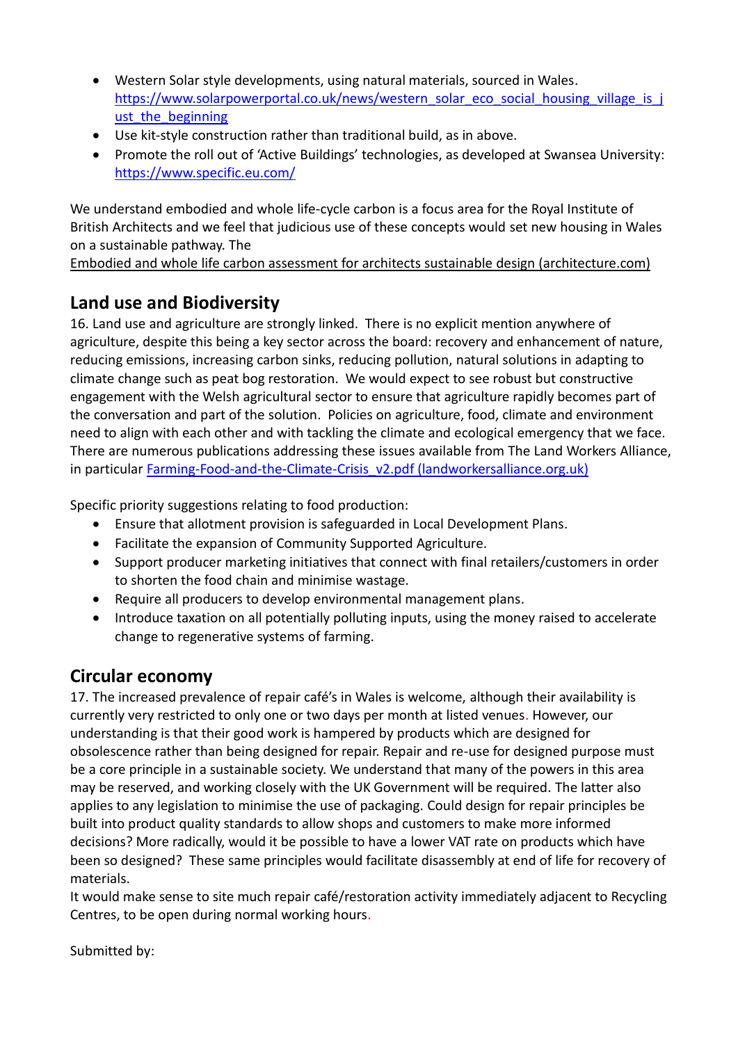- Western Solar style developments, using natural materials, sourced in Wales. [https://www.solarpowerportal.co.uk/news/western\\_solar\\_eco\\_social\\_housing\\_village\\_is\\_j](https://www.solarpowerportal.co.uk/news/western_solar_eco_social_housing_village_is_just_the_beginning) ust the beginning
- Use kit-style construction rather than traditional build, as in above.
- Promote the roll out of 'Active Buildings' technologies, as developed at Swansea University: <https://www.specific.eu.com/>

We understand embodied and whole life-cycle carbon is a focus area for the Royal Institute of British Architects and we feel that judicious use of these concepts would set new housing in Wales on a sustainable pathway. The

[Embodied and whole life carbon assessment for architects sustainable design \(architecture.com\)](https://www.architecture.com/knowledge-and-resources/resources-landing-page/whole-life-carbon-assessment-for-architects)

# **Land use and Biodiversity**

16. Land use and agriculture are strongly linked. There is no explicit mention anywhere of agriculture, despite this being a key sector across the board: recovery and enhancement of nature, reducing emissions, increasing carbon sinks, reducing pollution, natural solutions in adapting to climate change such as peat bog restoration. We would expect to see robust but constructive engagement with the Welsh agricultural sector to ensure that agriculture rapidly becomes part of the conversation and part of the solution. Policies on agriculture, food, climate and environment need to align with each other and with tackling the climate and ecological emergency that we face. There are numerous publications addressing these issues available from The Land Workers Alliance, in particular Farming-Food-and-the-Climate-Crisis v2.pdf (landworkersalliance.org.uk)

Specific priority suggestions relating to food production:

- Ensure that allotment provision is safeguarded in Local Development Plans.
- Facilitate the expansion of Community Supported Agriculture.
- Support producer marketing initiatives that connect with final retailers/customers in order to shorten the food chain and minimise wastage.
- Require all producers to develop environmental management plans.
- Introduce taxation on all potentially polluting inputs, using the money raised to accelerate change to regenerative systems of farming.

### **Circular economy**

17. The increased prevalence of repair café's in Wales is welcome, although their availability is currently very restricted to only one or two days per month at listed venues. However, our understanding is that their good work is hampered by products which are designed for obsolescence rather than being designed for repair. Repair and re-use for designed purpose must be a core principle in a sustainable society. We understand that many of the powers in this area may be reserved, and working closely with the UK Government will be required. The latter also applies to any legislation to minimise the use of packaging. Could design for repair principles be built into product quality standards to allow shops and customers to make more informed decisions? More radically, would it be possible to have a lower VAT rate on products which have been so designed? These same principles would facilitate disassembly at end of life for recovery of materials.

It would make sense to site much repair café/restoration activity immediately adjacent to Recycling Centres, to be open during normal working hours.

Submitted by: